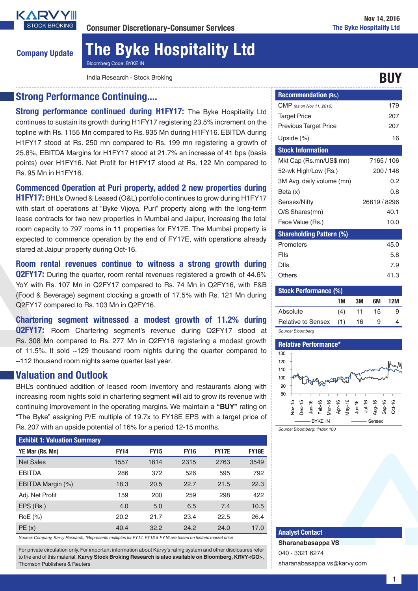

# Company Update The Byke Hospitality Ltd Bloomberg Code: BYKE IN

India Research - Stock Broking Buyer and the stock Broking Buyer and the stock Broking Buyer and the stock Broking

## Strong Performance Continuing....

Strong performance continued during H1FY17: The Byke Hospitality Ltd continues to sustain its growth during H1FY17 registering 23.5% increment on the topline with Rs. 1155 Mn compared to Rs. 935 Mn during H1FY16. EBITDA during H1FY17 stood at Rs. 250 mn compared to Rs. 199 mn registering a growth of 25.8%, EBITDA Margins for H1FY17 stood at 21.7% an increase of 41 bps (basis points) over H1FY16. Net Profit for H1FY17 stood at Rs. 122 Mn compared to Rs. 95 Mn in H1FY16.

Commenced Operation at Puri property, added 2 new properties during

H1FY17: BHL's Owned & Leased (O&L) portfolio continues to grow during H1FY17 with start of operations at "Byke Vijoya, Puri" property along with the long-term lease contracts for two new properties in Mumbai and Jaipur, increasing the total room capacity to 797 rooms in 11 properties for FY17E. The Mumbai property is expected to commence operation by the end of FY17E, with operations already stared at Jaipur property during Oct-16.

Room rental revenues continue to witness a strong growth during **Q2FY17:** During the quarter, room rental revenues registered a growth of 44.6% YoY with Rs. 107 Mn in Q2FY17 compared to Rs. 74 Mn in Q2FY16, with F&B (Food & Beverage) segment clocking a growth of 17.5% with Rs. 121 Mn during Q2FY17 compared to Rs. 103 Mn in Q2FY16.

Chartering segment witnessed a modest growth of 11.2% during Q2FY17: Room Chartering segment's revenue during Q2FY17 stood at Rs. 308 Mn compared to Rs. 277 Mn in Q2FY16 registering a modest growth of 11.5%. It sold ~129 thousand room nights during the quarter compared to ~112 thousand room nights same quarter last year.

## Valuation and Outlook

BHL's continued addition of leased room inventory and restaurants along with increasing room nights sold in chartering segment will aid to grow its revenue with continuing improvement in the operating margins. We maintain a **"BUY"** rating on "The Byke" assigning P/E multiple of 19.7x to FY18E EPS with a target price of Rs. 207 with an upside potential of 16% for a period 12-15 months.

| <b>Exhibit 1: Valuation Summary</b> |             |             |             |              |              |  |  |
|-------------------------------------|-------------|-------------|-------------|--------------|--------------|--|--|
| YE Mar (Rs. Mn)                     | <b>FY14</b> | <b>FY15</b> | <b>FY16</b> | <b>FY17E</b> | <b>FY18E</b> |  |  |
| <b>Net Sales</b>                    | 1557        | 1814        | 2315        | 2763         | 3549         |  |  |
| <b>EBITDA</b>                       | 286         | 372         | 526         | 595          | 792          |  |  |
| EBITDA Margin (%)                   | 18.3        | 20.5        | 22.7        | 21.5         | 22.3         |  |  |
| Adj. Net Profit                     | 159         | 200         | 259         | 298          | 422          |  |  |
| EPS (Rs.)                           | 4.0         | 5.0         | 6.5         | 7.4          | 10.5         |  |  |
| $RoE$ $(\%)$                        | 20.2        | 21.7        | 23.4        | 22.5         | 26.4         |  |  |
| PE(x)                               | 40.4        | 32.2        | 24.2        | 24.0         | 17.0         |  |  |

*Source: Company, Karvy Research; \*Represents multiples for FY14, FY15 & FY16 are based on historic market price*

For private circulation only. For important information about Karvy's rating system and other disclosures refer to the end of this material. **Karvy Stock Broking Research is also available on Bloomberg, KRVY<GO>**, Thomson Publishers & Reuters

| <b>Recommendation (Rs.)</b>     |              |
|---------------------------------|--------------|
| <b>CMP</b> (as on Nov 11, 2016) | 179          |
| <b>Target Price</b>             | 207          |
| <b>Previous Target Price</b>    | 207          |
| Upside $(\%)$                   | 16           |
| <b>Stock Information</b>        |              |
| Mkt Cap (Rs.mn/US\$ mn)         | 7165 / 106   |
| 52-wk High/Low (Rs.)            | 200/148      |
| 3M Avg. daily volume (mn)       | 0.2          |
| Beta (x)                        | 0.8          |
| Sensex/Nifty                    | 26819 / 8296 |
| O/S Shares(mn)                  | 40.1         |
| Face Value (Rs.)                | 10.0         |
| <b>Shareholding Pattern (%)</b> |              |
| Promoters                       | 45.0         |
| Flls                            | 5.8          |
| Dlls                            | 7.9          |
| Others                          | 41.3         |

| <b>Stock Performance (%)</b> |     |    |    |     |  |  |  |
|------------------------------|-----|----|----|-----|--|--|--|
|                              | 1M  | ЗM | 6M | 12M |  |  |  |
| Absolute                     | (4) | 11 | 15 | 9   |  |  |  |
| <b>Relative to Sensex</b>    | (1) | 16 | 9  |     |  |  |  |
| Source: Bloomberg            |     |    |    |     |  |  |  |



Analyst Contact

**Sharanabasappa VS** 040 - 3321 6274 sharanabasappa.vs@karvy.com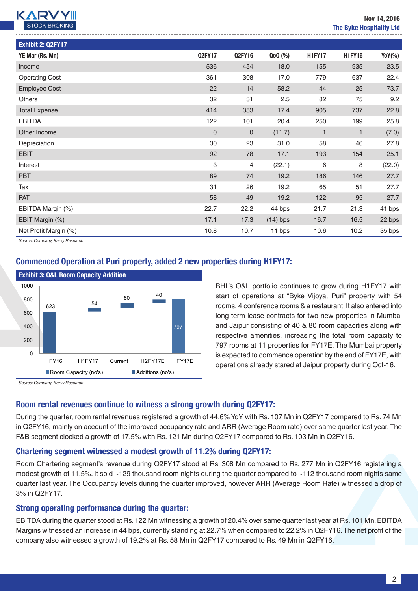

| Exhibit 2: Q2FY17     |               |               |            |               |               |        |
|-----------------------|---------------|---------------|------------|---------------|---------------|--------|
| YE Mar (Rs. Mn)       | <b>Q2FY17</b> | <b>Q2FY16</b> | QoQ (%)    | <b>H1FY17</b> | <b>H1FY16</b> | YoY(%) |
| Income                | 536           | 454           | 18.0       | 1155          | 935           | 23.5   |
| <b>Operating Cost</b> | 361           | 308           | 17.0       | 779           | 637           | 22.4   |
| <b>Employee Cost</b>  | 22            | 14            | 58.2       | 44            | 25            | 73.7   |
| <b>Others</b>         | 32            | 31            | 2.5        | 82            | 75            | 9.2    |
| <b>Total Expense</b>  | 414           | 353           | 17.4       | 905           | 737           | 22.8   |
| <b>EBITDA</b>         | 122           | 101           | 20.4       | 250           | 199           | 25.8   |
| Other Income          | $\mathbf 0$   | $\mathbf 0$   | (11.7)     | $\mathbf{1}$  | 1             | (7.0)  |
| Depreciation          | 30            | 23            | 31.0       | 58            | 46            | 27.8   |
| <b>EBIT</b>           | 92            | 78            | 17.1       | 193           | 154           | 25.1   |
| Interest              | 3             | 4             | (22.1)     | 6             | 8             | (22.0) |
| <b>PBT</b>            | 89            | 74            | 19.2       | 186           | 146           | 27.7   |
| Tax                   | 31            | 26            | 19.2       | 65            | 51            | 27.7   |
| <b>PAT</b>            | 58            | 49            | 19.2       | 122           | 95            | 27.7   |
| EBITDA Margin (%)     | 22.7          | 22.2          | 44 bps     | 21.7          | 21.3          | 41 bps |
| EBIT Margin (%)       | 17.1          | 17.3          | $(14)$ bps | 16.7          | 16.5          | 22 bps |
| Net Profit Margin (%) | 10.8          | 10.7          | 11 bps     | 10.6          | 10.2          | 35 bps |

*Source: Company, Karvy Research*

### Commenced Operation at Puri property, added 2 new properties during H1FY17:



BHL's O&L portfolio continues to grow during H1FY17 with start of operations at "Byke Vijoya, Puri" property with 54 rooms, 4 conference rooms & a restaurant. It also entered into long-term lease contracts for two new properties in Mumbai and Jaipur consisting of 40 & 80 room capacities along with respective amenities, increasing the total room capacity to 797 rooms at 11 properties for FY17E. The Mumbai property is expected to commence operation by the end of FY17E, with operations already stared at Jaipur property during Oct-16.

*Source: Company, Karvy Research*

#### Room rental revenues continue to witness a strong growth during Q2FY17:

During the quarter, room rental revenues registered a growth of 44.6% YoY with Rs. 107 Mn in Q2FY17 compared to Rs. 74 Mn in Q2FY16, mainly on account of the improved occupancy rate and ARR (Average Room rate) over same quarter last year. The F&B segment clocked a growth of 17.5% with Rs. 121 Mn during Q2FY17 compared to Rs. 103 Mn in Q2FY16.

#### Chartering segment witnessed a modest growth of 11.2% during Q2FY17:

Room Chartering segment's revenue during Q2FY17 stood at Rs. 308 Mn compared to Rs. 277 Mn in Q2FY16 registering a modest growth of 11.5%. It sold ~129 thousand room nights during the quarter compared to ~112 thousand room nights same quarter last year. The Occupancy levels during the quarter improved, however ARR (Average Room Rate) witnessed a drop of 3% in Q2FY17.

#### Strong operating performance during the quarter:

EBITDA during the quarter stood at Rs. 122 Mn witnessing a growth of 20.4% over same quarter last year at Rs. 101 Mn. EBITDA Margins witnessed an increase in 44 bps, currently standing at 22.7% when compared to 22.2% in Q2FY16. The net profit of the company also witnessed a growth of 19.2% at Rs. 58 Mn in Q2FY17 compared to Rs. 49 Mn in Q2FY16.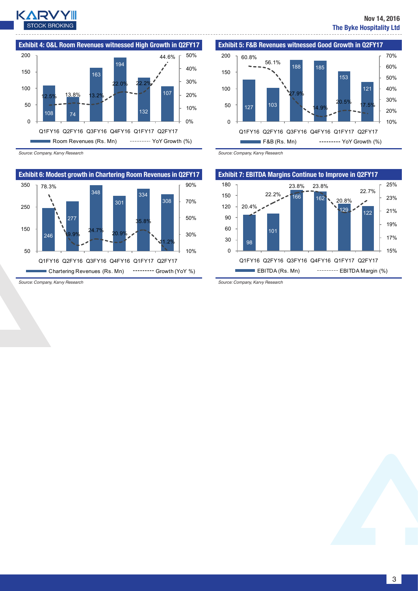

10% 20% 30% 40% 50% 60% 70%



*Source: Company, Karvy Research*



<sup>127</sup> <sup>103</sup> 188 185 153 121 27.9% 14.9%  $20.5\%$   $17.5\%$ 0 50 100 150 Q1FY16 Q2FY16 Q3FY16 Q4FY16 Q1FY17 Q2FY17

 $F&B(Rs. Mn)$   $-----YoY$  Growth  $(\%)$ 

Exhibit 5: F&B Revenues witnessed Good Growth in Q2FY17

*Source: Company, Karvy Research*

60.8%

200

56.1%



*Source: Company, Karvy Research*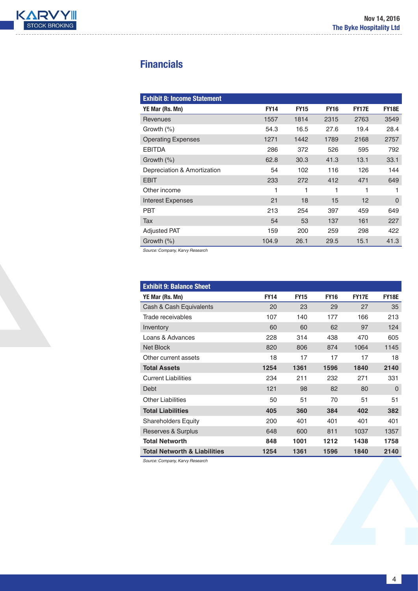

# **Financials**

| <b>Exhibit 8: Income Statement</b> |             |             |             |              |              |
|------------------------------------|-------------|-------------|-------------|--------------|--------------|
| YE Mar (Rs. Mn)                    | <b>FY14</b> | <b>FY15</b> | <b>FY16</b> | <b>FY17E</b> | <b>FY18E</b> |
| Revenues                           | 1557        | 1814        | 2315        | 2763         | 3549         |
| Growth $(\%)$                      | 54.3        | 16.5        | 27.6        | 19.4         | 28.4         |
| <b>Operating Expenses</b>          | 1271        | 1442        | 1789        | 2168         | 2757         |
| <b>EBITDA</b>                      | 286         | 372         | 526         | 595          | 792          |
| Growth $(\%)$                      | 62.8        | 30.3        | 41.3        | 13.1         | 33.1         |
| Depreciation & Amortization        | 54          | 102         | 116         | 126          | 144          |
| <b>EBIT</b>                        | 233         | 272         | 412         | 471          | 649          |
| Other income                       | 1           | 1           | 1           |              | 1            |
| <b>Interest Expenses</b>           | 21          | 18          | 15          | 12           | $\Omega$     |
| <b>PBT</b>                         | 213         | 254         | 397         | 459          | 649          |
| Tax                                | 54          | 53          | 137         | 161          | 227          |
| <b>Adjusted PAT</b>                | 159         | 200         | 259         | 298          | 422          |
| Growth $(\%)$                      | 104.9       | 26.1        | 29.5        | 15.1         | 41.3         |

*Source: Company, Karvy Research*

| <b>Exhibit 9: Balance Sheet</b>         |             |             |             |              |              |
|-----------------------------------------|-------------|-------------|-------------|--------------|--------------|
| YE Mar (Rs. Mn)                         | <b>FY14</b> | <b>FY15</b> | <b>FY16</b> | <b>FY17E</b> | <b>FY18E</b> |
| Cash & Cash Equivalents                 | 20          | 23          | 29          | 27           | 35           |
| Trade receivables                       | 107         | 140         | 177         | 166          | 213          |
| Inventory                               | 60          | 60          | 62          | 97           | 124          |
| Loans & Advances                        | 228         | 314         | 438         | 470          | 605          |
| <b>Net Block</b>                        | 820         | 806         | 874         | 1064         | 1145         |
| Other current assets                    | 18          | 17          | 17          | 17           | 18           |
| <b>Total Assets</b>                     | 1254        | 1361        | 1596        | 1840         | 2140         |
| <b>Current Liabilities</b>              | 234         | 211         | 232         | 271          | 331          |
| Debt                                    | 121         | 98          | 82          | 80           | $\Omega$     |
| <b>Other Liabilities</b>                | 50          | 51          | 70          | 51           | 51           |
| <b>Total Liabilities</b>                | 405         | 360         | 384         | 402          | 382          |
| <b>Shareholders Equity</b>              | 200         | 401         | 401         | 401          | 401          |
| Reserves & Surplus                      | 648         | 600         | 811         | 1037         | 1357         |
| <b>Total Networth</b>                   | 848         | 1001        | 1212        | 1438         | 1758         |
| <b>Total Networth &amp; Liabilities</b> | 1254        | 1361        | 1596        | 1840         | 2140         |

*Source: Company, Karvy Research*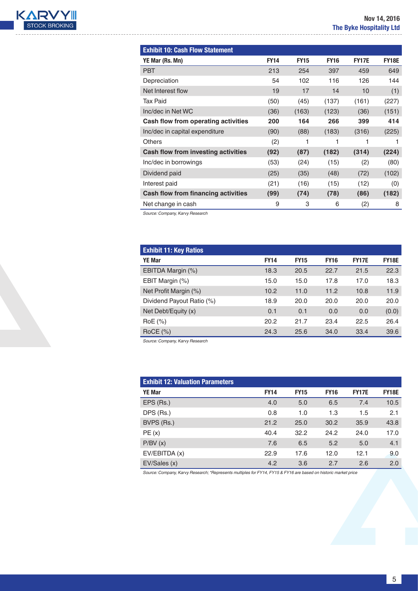

| <b>Exhibit 10: Cash Flow Statement</b> |             |             |             |              |              |
|----------------------------------------|-------------|-------------|-------------|--------------|--------------|
| YE Mar (Rs. Mn)                        | <b>FY14</b> | <b>FY15</b> | <b>FY16</b> | <b>FY17E</b> | <b>FY18E</b> |
| <b>PBT</b>                             | 213         | 254         | 397         | 459          | 649          |
| Depreciation                           | 54          | 102         | 116         | 126          | 144          |
| Net Interest flow                      | 19          | 17          | 14          | 10           | (1)          |
| Tax Paid                               | (50)        | (45)        | (137)       | (161)        | (227)        |
| Inc/dec in Net WC                      | (36)        | (163)       | (123)       | (36)         | (151)        |
| Cash flow from operating activities    | 200         | 164         | 266         | 399          | 414          |
| Inc/dec in capital expenditure         | (90)        | (88)        | (183)       | (316)        | (225)        |
| <b>Others</b>                          | (2)         | 1           | 1           | 1            |              |
| Cash flow from investing activities    | (92)        | (87)        | (182)       | (314)        | (224)        |
| Inc/dec in borrowings                  | (53)        | (24)        | (15)        | (2)          | (80)         |
| Dividend paid                          | (25)        | (35)        | (48)        | (72)         | (102)        |
| Interest paid                          | (21)        | (16)        | (15)        | (12)         | (0)          |
| Cash flow from financing activities    | (99)        | (74)        | (78)        | (86)         | (182)        |
| Net change in cash                     | 9           | 3           | 6           | (2)          | 8            |

*Source: Company, Karvy Research*

| <b>Exhibit 11: Key Ratios</b> |             |             |             |              |              |
|-------------------------------|-------------|-------------|-------------|--------------|--------------|
| <b>YE Mar</b>                 | <b>FY14</b> | <b>FY15</b> | <b>FY16</b> | <b>FY17E</b> | <b>FY18E</b> |
| EBITDA Margin (%)             | 18.3        | 20.5        | 22.7        | 21.5         | 22.3         |
| EBIT Margin (%)               | 15.0        | 15.0        | 17.8        | 17.0         | 18.3         |
| Net Profit Margin (%)         | 10.2        | 11.0        | 11.2        | 10.8         | 11.9         |
| Dividend Payout Ratio (%)     | 18.9        | 20.0        | 20.0        | 20.0         | 20.0         |
| Net Debt/Equity (x)           | 0.1         | 0.1         | 0.0         | 0.0          | (0.0)        |
| RoE (%)                       | 20.2        | 21.7        | 23.4        | 22.5         | 26.4         |
| $RoCE$ (%)                    | 24.3        | 25.6        | 34.0        | 33.4         | 39.6         |

*Source: Company, Karvy Research*

| <b>Exhibit 12: Valuation Parameters</b> |             |             |             |              |              |
|-----------------------------------------|-------------|-------------|-------------|--------------|--------------|
| <b>YE Mar</b>                           | <b>FY14</b> | <b>FY15</b> | <b>FY16</b> | <b>FY17E</b> | <b>FY18E</b> |
| EPS (Rs.)                               | 4.0         | 5.0         | 6.5         | 7.4          | 10.5         |
| DPS (Rs.)                               | 0.8         | 1.0         | 1.3         | 1.5          | 2.1          |
| BVPS (Rs.)                              | 21.2        | 25.0        | 30.2        | 35.9         | 43.8         |
| PE(x)                                   | 40.4        | 32.2        | 24.2        | 24.0         | 17.0         |
| P/BV(x)                                 | 7.6         | 6.5         | 5.2         | 5.0          | 4.1          |
| EV/EBITDA (x)                           | 22.9        | 17.6        | 12.0        | 12.1         | 9.0          |
| EV/Sales (x)                            | 4.2         | 3.6         | 2.7         | 2.6          | 2.0          |

*Source: Company, Karvy Research; \*Represents multiples for FY14, FY15 & FY16 are based on historic market price*